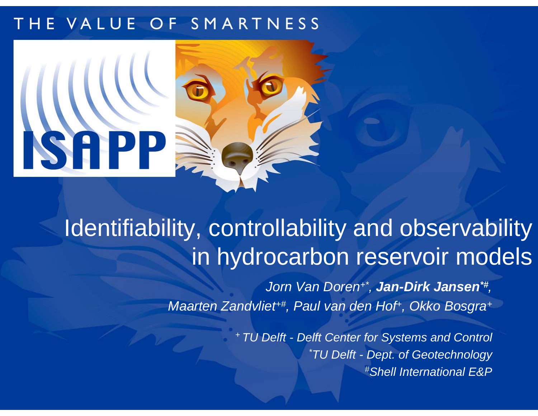### THE VALUE OF SMARTNESS



## Identifiability, controllability and observability in hydrocarbon reservoir models

*Jorn Van Doren+\*, Jan-Dirk Jansen\*#, Maarten Zandvliet+#, Paul van den Hof+, Okko Bosgra +*

> *+ TU Delft - Delft Center for Systems and Control \*TU Delft - Dept. of Geotechnology #Shell International E&P*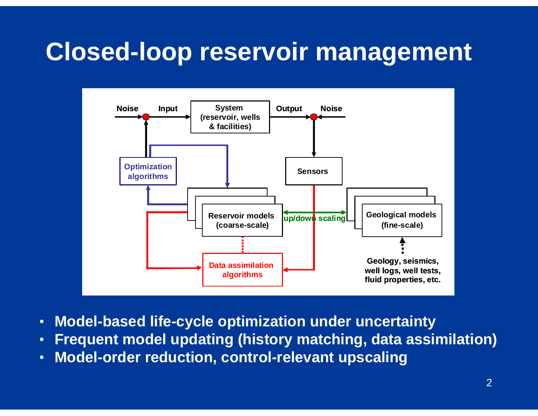### **Closed-loop reservoir management**



- •**Model-based life-cycle optimization under uncertainty**
- •**Frequent model updating (history matching, data assimilation)**
- •**Model-order reduction, control-relevant upscaling**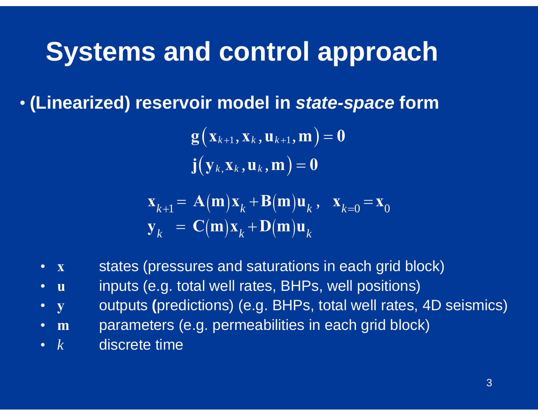## **Systems and control approach**

• **(Linearized) reservoir model in** *state-space* **form**

 $\mathbf{g}\!\left(\mathbf{x}_{k+1}, \mathbf{x}_{k}, \mathbf{u}_{k+1}, \mathbf{m}\right) = \mathbf{0}$  $\mathbf{j}\big(\mathbf{y}_k\text{,}\mathbf{x}_k\,\text{,}\mathbf{u}_k\,\text{,}\mathbf{m}\big)\!=\!\mathbf{0}$ 

$$
\mathbf{x}_{k+1} = \mathbf{A}(\mathbf{m})\mathbf{x}_k + \mathbf{B}(\mathbf{m})\mathbf{u}_k, \quad \mathbf{x}_{k=0} = \mathbf{x}_0
$$
  

$$
\mathbf{y}_k = \mathbf{C}(\mathbf{m})\mathbf{x}_k + \mathbf{D}(\mathbf{m})\mathbf{u}_k
$$

- •**x**states (pressures and saturations in each grid block)
- $\bullet$ **u**inputs (e.g. total well rates, BHPs, well positions)
- $\bullet$ **y** outputs **(**predictions) (e.g. BHPs, total well rates, 4D seismics)
- $\bullet$ **m**parameters (e.g. permeabilities in each grid block)
- *k* $\,k_{\parallel}$  discrete time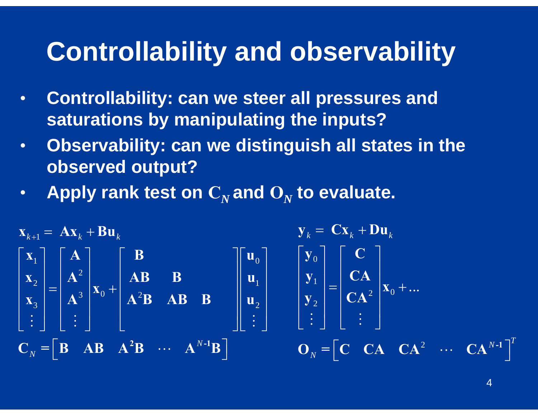## **Controllability and observability**

- • **Controllability: can we steer all pressures and saturations by manipulating the inputs?**
- • **Observability: can we distinguish all states in the observed output?**
- $\bullet$ • Apply rank test on  $\mathbf{C}_N$  and  $\mathbf{O}_N$  to evaluate.

$$
\mathbf{x}_{k+1} = \mathbf{A}\mathbf{x}_k + \mathbf{B}\mathbf{u}_k
$$
\n
$$
\begin{bmatrix}\n\mathbf{x}_1 \\
\mathbf{x}_2 \\
\mathbf{x}_3 \\
\vdots\n\end{bmatrix} =\n\begin{bmatrix}\n\mathbf{A} \\
\mathbf{A}^2 \\
\mathbf{A}^3 \\
\vdots\n\end{bmatrix}\n\mathbf{x}_0 +\n\begin{bmatrix}\n\mathbf{B} \\
\mathbf{A}\mathbf{B} \\
\mathbf{A}^2\mathbf{B} \\
\mathbf{A}^2\mathbf{B} \\
\mathbf{A}^3\mathbf{B}\n\end{bmatrix}\n\mathbf{B}
$$
\n
$$
\mathbf{B} = \begin{bmatrix}\n\mathbf{u}_0 \\
\mathbf{u}_1 \\
\mathbf{u}_2 \\
\vdots\n\end{bmatrix}\n\mathbf{B}\n\mathbf{A}^2\mathbf{B} + \mathbf{A}\mathbf{B} + \mathbf{B}\n\mathbf{B}
$$
\n
$$
\mathbf{C}_N = \begin{bmatrix}\n\mathbf{B} & \mathbf{A}\mathbf{B} & \mathbf{A}^2\mathbf{B} & \cdots & \mathbf{A}^{N-1}\mathbf{B}\n\end{bmatrix} \qquad\n\mathbf{O}_N = \begin{bmatrix}\n\mathbf{C} & \mathbf{C}\mathbf{A} & \mathbf{C}\mathbf{A}^2 & \cdots & \mathbf{C}\mathbf{A}^{N-1}\n\end{bmatrix}^T
$$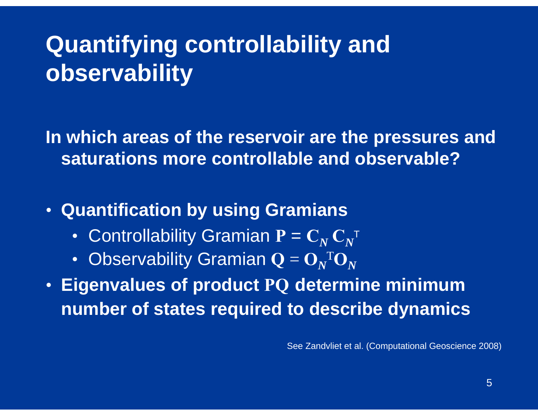# **Quantifying controllability and observability**

**In which areas of the reservoir are the pressures and saturations more controllable and observable?**

- **Quantification by using Gramians**
	- Controllability Gramian  $\mathbf{P} = \mathbf{C}_N \, \mathbf{C}_N$ T
	- • Observability Gramian **Q**   $=\mathbf{O}_N$  ${}^{\mathrm{T}} \mathbf{O}_N$
- **Eigenvalues of product PQ determine minimum number of states required to describe dynamics**

See Zandvliet et al. (Computational Geoscience 2008)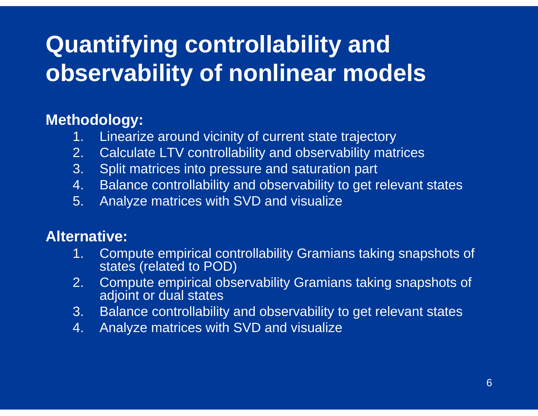# **Quantifying controllability and observability of nonlinear models**

### **Methodology:**

- 1. Linearize around vicinity of current state trajectory
- 2. Calculate LTV controllability and observability matrices
- 3. Split matrices into pressure and saturation part
- 4. Balance controllability and observability to get relevant states
- 5. Analyze matrices with SVD and visualize

### **Alternative:**

- 1. Compute empirical controllability Gramians taking snapshots of states (related to POD)
- 2. Compute empirical observability Gramians taking snapshots of adjoint or dual states
- 3. Balance controllability and observability to get relevant states
- 4. Analyze matrices with SVD and visualize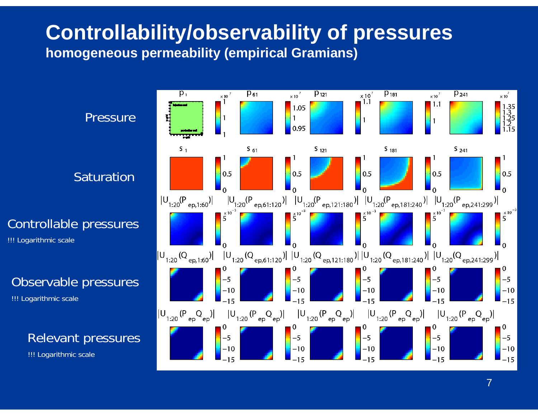### **Controllability/observability of pressures homogeneous permeability (empirical Gramians)**

**Pressure** 

Saturation

Controllable pressures

!!! Logarithmic scale

#### Observable pressures

!!! Logarithmic scale

### Relevant pressures

!!! Logarithmic scale

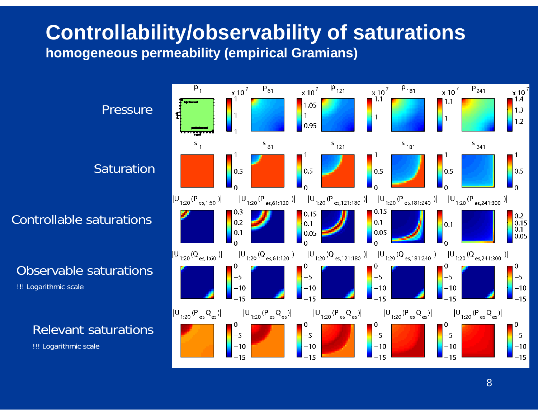### **Controllability/observability of saturations homogeneous permeability (empirical Gramians)**

**Pressure** 

Saturation

Controllable saturations

Observable saturations

!!! Logarithmic scale

#### Relevant saturations

!!! Logarithmic scale

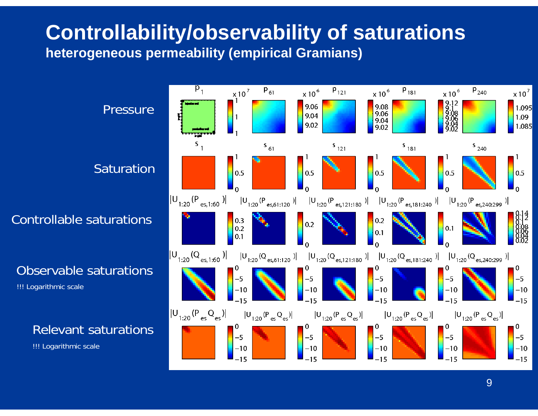### **Controllability/observability of saturations heterogeneous permeability (empirical Gramians)**

**Pressure** 

Saturation

Controllable saturations

Observable saturations

!!! Logarithmic scale

#### Relevant saturations

!!! Logarithmic scale

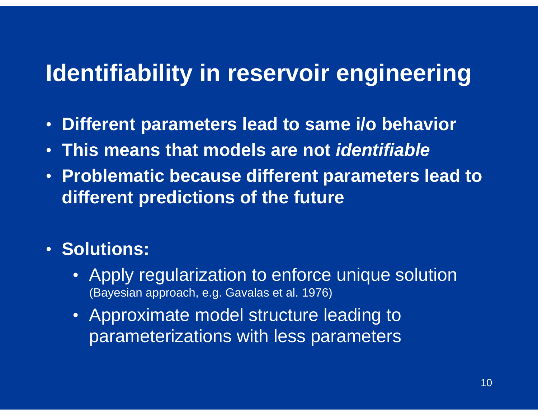### **Identifiability in reservoir engineering**

- •**Different parameters lead to same i/o behavior**
- **This means that models are not** *identifiable*
- **Problematic because different parameters lead to different predictions of the future**

### • **Solutions:**

- Apply regularization to enforce unique solution (Bayesian approach, e.g. Gavalas et al. 1976)
- Approximate model structure leading to parameterizations with less parameters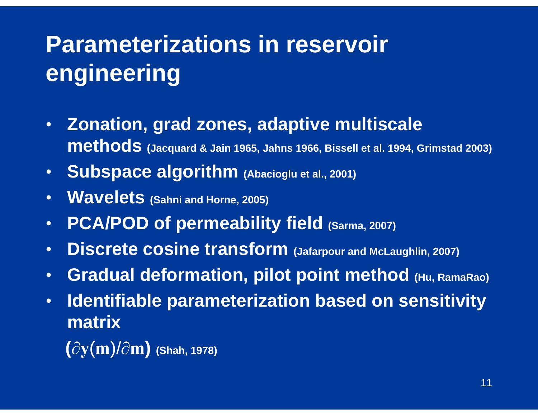# **Parameterizations in reservoir engineering**

- • **Zonation, grad zones, adaptive multiscale methods (Jacquard & Jain 1965, Jahns 1966, Bissell et al. 1994, Grimstad 2003)**
- **Subspace algorithm (Abacioglu et al., 2001)**
- •**Wavelets** (Sahni and Horne, 2005)
- •**PCA/POD of permeability field (Sarma, 2007)**
- •**Discrete cosine transform (Jafarpour and McLaughlin, 2007)**
- $\bullet$ **Gradual deformation, pilot point method (Hu, RamaRao)**
- • **Identifiable parameterization based on sensitivity matrix** 
	- **(** ∂ **y** ( **<sup>m</sup>**)/ ∂ **m) (Shah, 1978)**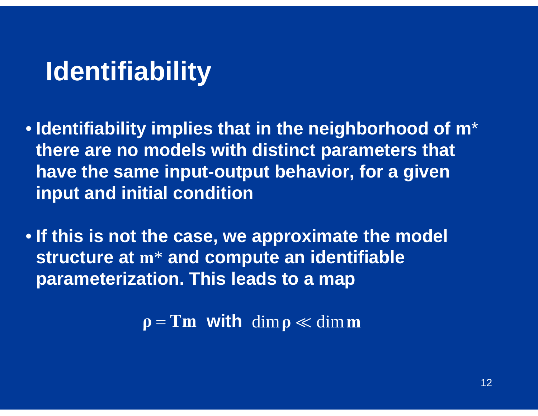## **Identifiability**

- **Identifiability implies that in the neighborhood of m**\* **there are no models with distinct parameters that have the same input-output behavior, for a given input and initial condition**
- **If this is not the case, we approximate the model structure at <sup>m</sup>**\* **and compute an identifiable parameterization. This leads to a map**

 $\rho = Tm$  with dim  $\rho \ll \dim m$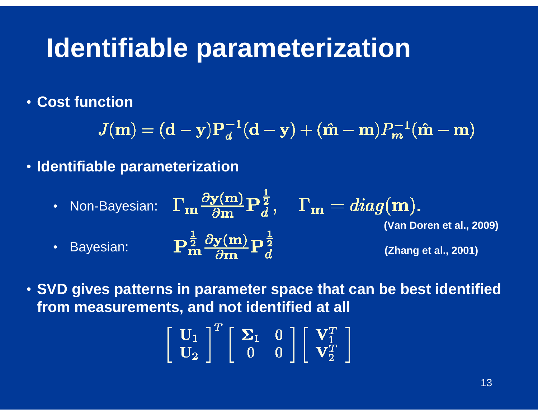## **Identifiable parameterization**

• **Cost function**

 $J(m) = (\mathbf{d} - \mathbf{y})P_d^{-1}(\mathbf{d} - \mathbf{y}) + (\hat{\mathbf{m}} - \mathbf{m})P_m^{-1}(\hat{\mathbf{m}} - \mathbf{m})$ 

- **Identifiable parameterization**
	- Non-Bayesian: **(Van Doren et al., 2009)** $\mathbf{P}_{\mathbf{m}}^{\frac{1}{2}}\frac{\partial \mathbf{y}(\mathbf{m})}{\partial \mathbf{m}}\mathbf{P}_{d}^{\frac{1}{2}}$ • Bayesian: **(Zhang et al., 2001)**

• **SVD gives patterns in parameter space that can be best identified from measurements, and not identified at all**

$$
\left[\begin{array}{c} \mathbf{U}_1 \\ \mathbf{U}_2 \end{array}\right]^T \left[\begin{array}{cc} \mathbf{\Sigma}_1 & 0 \\ 0 & 0 \end{array}\right] \left[\begin{array}{c} \mathbf{V}_1^T \\ \mathbf{V}_2^T \end{array}\right]
$$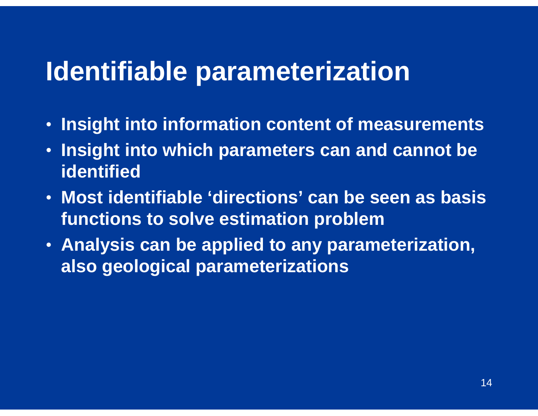### **Identifiable parameterization**

- •**Insight into information content of measurements**
- $\bullet$  **Insight into which parameters can and cannot be identified**
- **Most identifiable 'directions' can be seen as basis functions to solve estimation problem**
- **Analysis can be applied to any parameterization, also geological parameterizations**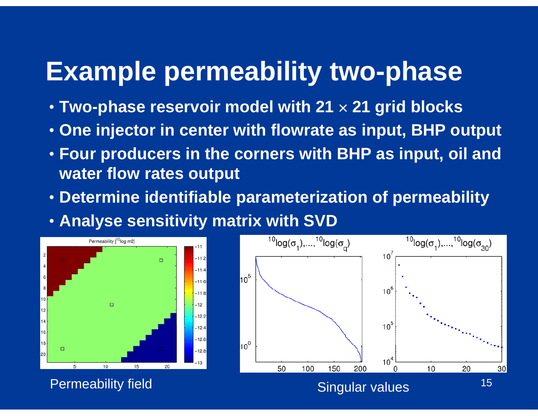## **Example permeability two-phase**

- **Two-phase reservoir model with 21**  × **21 grid blocks**
- **One injector in center with flowrate as input, BHP output**
- **Four producers in the corners with BHP as input, oil and water flow rates output**
- **Determine identifiable parameterization of permeability**
- **Analyse sensitivity matrix with SVD**



Permeability field Singular values

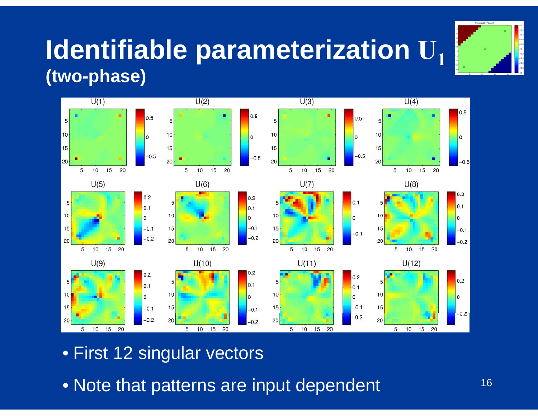

### **Identifiable parameterization U 1(two-phase)**



- First 12 singular vectors
- Note that patterns are input dependent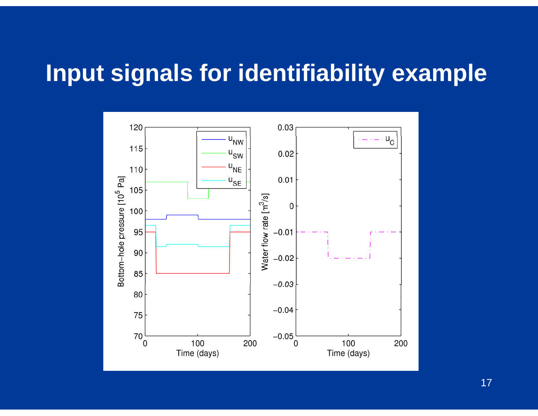### **Input signals for identifiability example**



17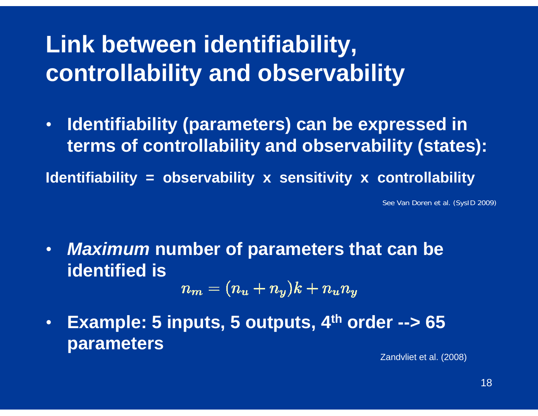## **Link between identifiability, controllability and observability**

• **Identifiability (parameters) can be expressed in terms of controllability and observability (states):**

**Identifiability = observability x sensitivity x controllability**

See Van Doren et al. (SysID 2009)

 $\bullet$  *Maximum* **number of parameters that can be identified is**

$$
n_{\boldsymbol{m}}=(n_{\boldsymbol{u}}+n_{\boldsymbol{y}})k+n_{\boldsymbol{u}}n_{\boldsymbol{y}}
$$

• **Example: 5 inputs, 5 outputs, 4th order --> 65 parameters** 

Zandvliet et al. (2008)